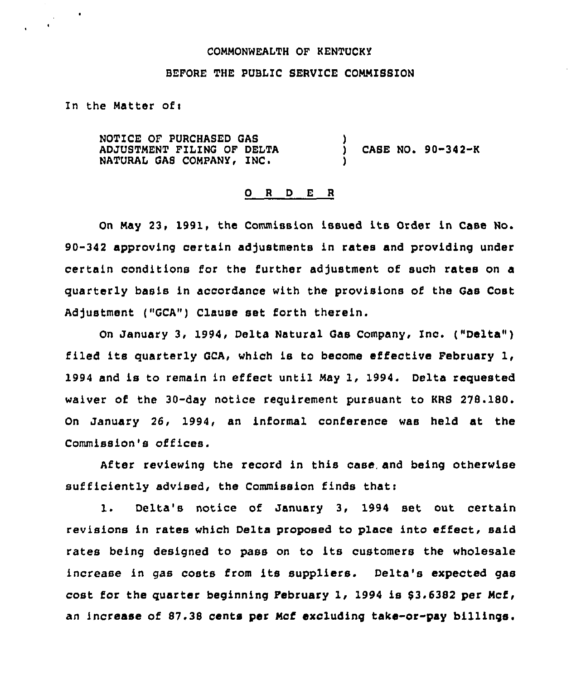### COMMONWEALTH OF KENTUCKY

## BEFORE THE PUBLIC SERVICE COMMISSION

In the Matter of $<sub>1</sub>$ </sub>

NOTICE OF PURCHASED GAS ADJUSTMENT FILING OF DELTA NATURAL GAS COMPANY, INC.  $i$  CASE NO. 90-342-K )

#### 0 <sup>R</sup> <sup>D</sup> E <sup>R</sup>

On May 23, 1991, the Commission issued its Order in Case No. 90-342 approving certain adjustments in rates and providing under certain conditions for the further adjustment of such rates on a quarterly basis in accordance with the provisions of the Gas Cost Adjustment ("GCA") Clause set forth therein.

On January 3, 1994, Delta Natural Gas Company, Inc. ("Delta" ) filed its quarterly GCA, which is to become effective February 1, 1994 and is to remain in effect until May 1, 1994. Delta requested waiver of the 30-day notice requirement pursuant to KRS 278.180. On January 26, 1994, an informal conference was held at the Commission's offices.

After reviewing the record in this case, and being otherwise sufficiently advised, the Commission finds thati

1. Delta's notice of January 3, 1994 set out certain revisions in rates which Delta proposed to place into effect, said rates being designed to pass on to its customers the wholesale increase in gas costs from its suppliers. Delta's expected gas cost for the quarter beginning February 1, 1994 is  $$3.6382$  per Mcf, an increase of 87.38 cents per Mcf excluding take-or-pay billings.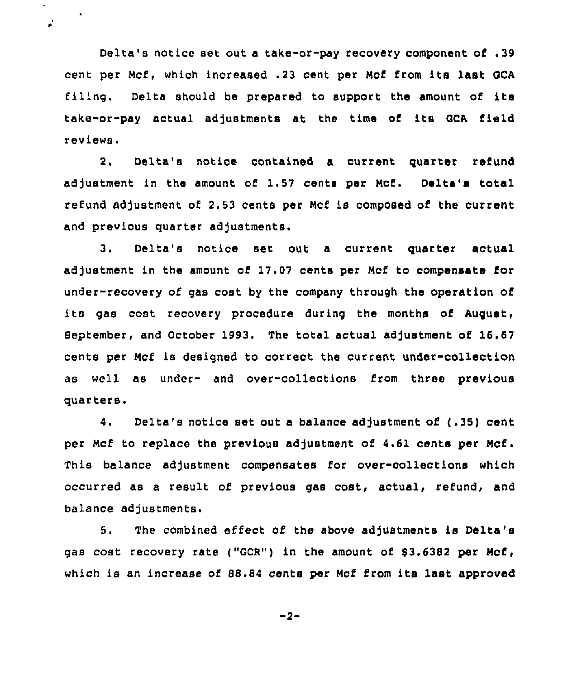Delta's notice set out a take-or-pay recovery component of .39 cent per Mcf, which increased .23 cent per Ncf from its last GCA filing. Delta should be prepared to support the amount of its take-or-pay actual adjustments at the time of its QCA field reviews.

 $\bullet$ 

 $\mathbf{r}$ 

2, Delta's notice contained a current quarter refund adjustment in the amount of 1.57 cents per Ncf. Delta's total refund adjustment of 2.53 cents per Mcf is composed of the current and previous quarter adjustments.

3. Delta's notice set out <sup>a</sup> current quarter actual adjustment in the amount of 17.07 cents per Ncf to compensate for under-recovery of gas cost by the company through the operation of its gas cost recovery procedure during the months of August, September, and October 1993. The total actual adjustment of 16.67 cents per Mcf is designed to correct the current under-collection as well as under- and over-collections from three previous quarters.

4. Delta's notice set out <sup>a</sup> balance adjustment of (.35) cent per Mcf to replace the previous adjustment of 4.61 cents per Ncf. This balance adjustment compensates for over-collections which occurred as a result of previous gas cost, actual, refund, and balance adjustments.

5. The combined effect of the above adjustments is Delta's gas cost recovery rate ("GCR") in the amount of \$3.6382 per Mcf, which is an increase of 88.84 cents per Mcf from its last approved

 $-2-$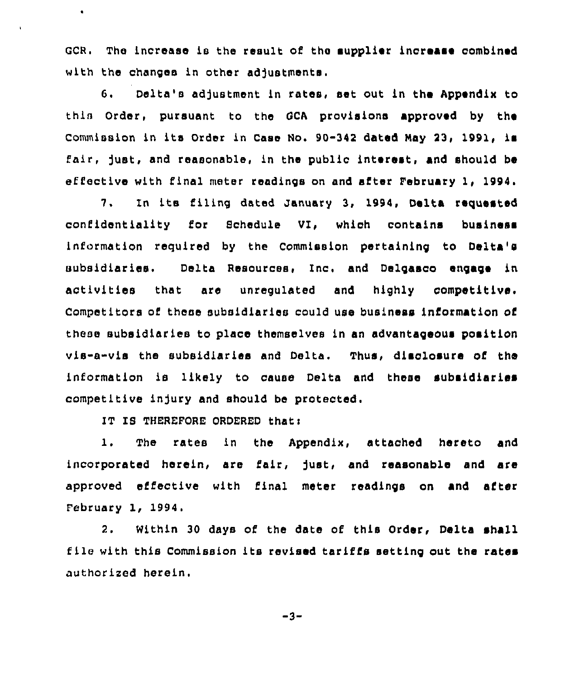GCR. The increase is the result of the supplier increase combined with the changes in other adjustments.

G. Delta's adjustment ln rates, set out ln the Appendix to thin Order, pursuant to the OCA provisions approved by the Commission in its Order in Case No. 90-342 dated May 23, 1991, is fair, just, and reasonable, ln the public interest, and should be effective with final meter readings on and after February 1, 1994

7. In its filing dated January 3, 1994, Delta requested confidentiality for Schedule VI, which contains business information required by the Commission pertaining to Delta's subsidiaries, Delta Resources, Inc, and Deigasco engage ln activities that are unregulated and highly competitive. Competitors of these subsldlarles could use business information of these subsidiaries to place themselves in sn advantageous position vis-a-vis the subsidiaries and Delta. Thus, disclosure of the information ls likely to cause Delta and these subsidiaries competitive injury and should be protected.

IT IS THEREFORE ORDERED that:

 $\bullet$ 

ï

1. The rates ln the Appendix, attached hereto and incorporated herein, are fair, just, and reasonable and are approved effective with final meter readings on and after Eebruary 1, 1994,

2. Within 30 days of the date of this Order, Delta shall file with this Commission its revised tariffs setting out the rates authorized herein.

-3-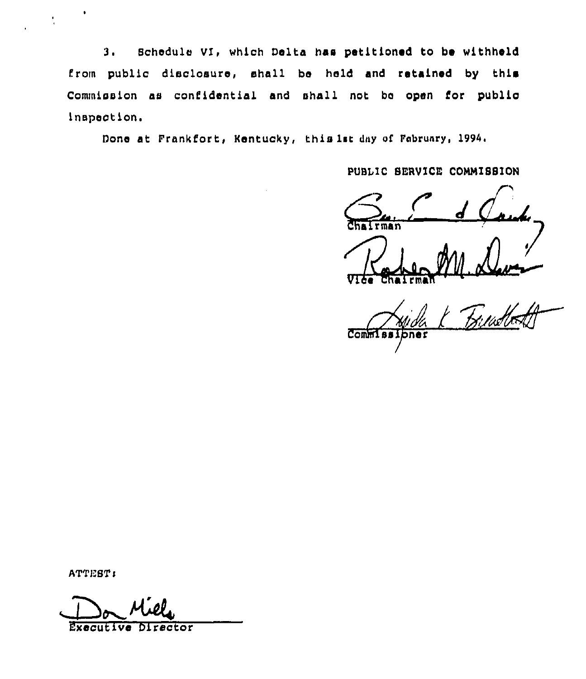3. Schedule VI, which Delta has petitioned to be withheld from public disclosure, shall be held and retained by this Commission as confidential and shall not be open for public inspection.

Done at Frankfort, Kentucky, this lat day of February, 1994.

PUBLIC SERVICE COMMISSION

 $\overline{\text{r}}$ man

 $Comm$ 

ATTEST:

í.

Executive Director